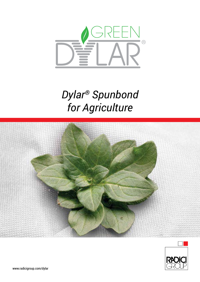

# *Dylar® Spunbond for Agriculture*



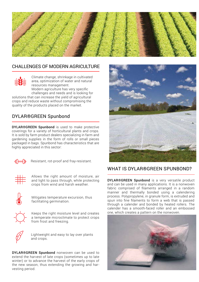

# CHALLENGES OF MODERN AGRICULTURE



Climate change, shrinkage in cultivated area, optimization of water and natural resources management. Modern agriculture has very specific

challenges and needs and is looking for solutions that can increase the yield of agricultural crops and reduce waste without compromising the quality of the products placed on the market.

# DYLAR®GREEN Spunbond

DYLAR®GREEN Spunbond is used to make protective coverings for a variety of horticultural plants and crops. It is sold by farm product dealers specializing in farm and gardening supplies in the form of rolls or small pieces packaged in bags. Spunbond has characteristics that are highly appreciated in this sector:



Resistant, rot-proof and fray-resistant.



Allows the right amount of moisture, air and light to pass through, while protecting crops from wind and harsh weather.



Mitigates temperature excursion, thus facilitating germination.



Keeps the right moisture level and creates a temperate microclimate to protect crops from frost and freezing.



Lightweight and easy to lay over plants and crops.

DYLAR®GREEN Spunbond nonwoven can be used to extend the harvest of late crops (sometimes up to late winter) or to advance the harvest of the early crops of the new season, thus extending the growing and harvesting period.



# WHAT IS DYLAR®GREEN SPUNBOND?

DYLAR®GREEN Spunbond is a very versatile product and can be used in many applications. It is a nonwoven fabric comprised of filaments arranged in a random manner and thermally bonded using a calendering process. Polypropylene, in granule form, is extruded and spun into fine filaments to form a web that is passed through a calender and bonded by heated rollers. The calender has a smooth-faced roller and an embossed one, which creates a pattern on the nonwoven.

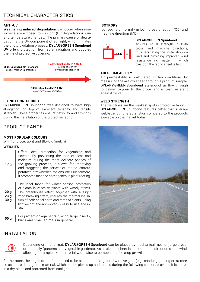# TECHNICAL CHARACTERISTICS

#### **ANTI-UV**

Weathering induced degradation can occur when nonwovens are exposed to sunlight (UV degradation), rain and temperature changes. The primary cause of degradation is the UV component of sunlight, which initiates the photo-oxidation process. DYLAR®GREEN Spunbond UV offers protection from solar radiation and doubles the life of protective covering.



#### **ELONGATION AT BREAK**

DYLAR®GREEN Spunbond was designed to have high elongation, on top of excellent tenacity and tensile strength. These properties ensure flexibility and strength during the installation of the protective fabric.

### PRODUCT RANGE

#### **MOST POPULAR COLOURS**

WHITE (protection) and BLACK (mulch)

#### **WEIGHTS**

Offers ideal protection for vegetables and flowers. By preventing the loss of heat and moisture during the most delicate phases of the growing process, it allows for improving and staggering the harvest of lettuce, carrots, potatoes, strawberries, melons, etc. Furthermore, it promotes fast and homogeneous plant rooting.

20 g 23 g 30 g

 $17<sub>a</sub>$ 

The ideal fabric for winter season protection of plants in vases or plants with woody stems. The greenhouse effect, together with a slight wind-breaking effect, ensures the thermal insulation of both aerial parts and roots of plants. Being lightweight, the nonwoven is easy to use and install.

50 g

For protection against rain, wind, large insects, birds and small animals in general.

#### **ISOTROPY**

Isotropy is uniformity in both cross direction (CD) and machine direction (MD).



#### DYLAR®GREEN Spunbond

ensures equal strength in both cross and machine directions, thus facilitating the installation on land and providing improved wind resistance, no matter in which direction the fabric sheet is laid.

#### **AIR PERMEABILITY**

Air permeability is calculated in lab conditions by measuring the airflow speed through a product sample. DYLAR®GREEN Spunbond lets enough air flow through to deliver oxygen to the crops and is tear resistant against wind.

#### **WELD STRENGTH**

The weld lines are the weakest spot in protective fabric. DYLAR®GREEN Spunbond features better than average weld-strength characteristics compared to the products available on the market today.



# INSTALLATION



Depending on the format, **DYLAR®GREEN Spunbond** can be placed by mechanical means (large areas) or manually (gardens and vegetable gardens). As a rule, the sheet is laid out in the direction of the wind, allowing for ample extra material widthwise to compensate for crop growth.

Furthermore, the edges of the fabric need to be secured to the ground with weights (e.g., sandbags) using extra care, so as not to damage the material, which can be picked up and reused during the following season, provided it is stored in a dry place and protected from sunlight.